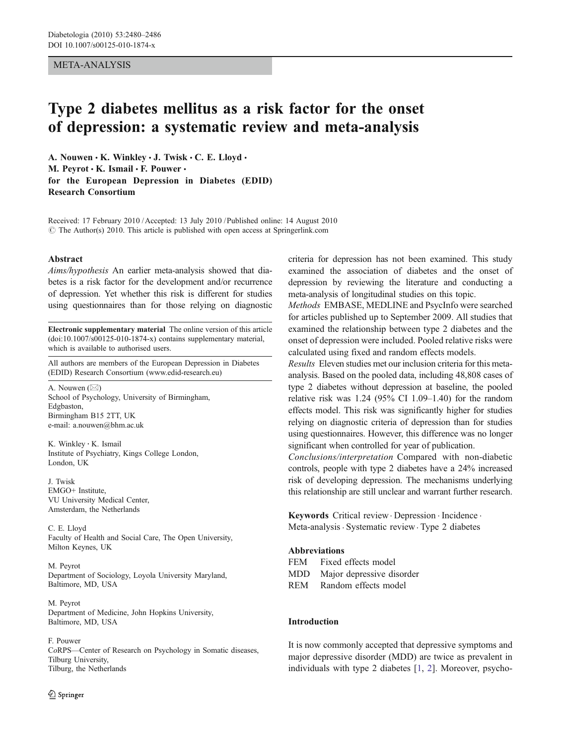### META-ANALYSIS

# Type 2 diabetes mellitus as a risk factor for the onset of depression: a systematic review and meta-analysis

A. Nouwen  $\cdot$  K. Winkley  $\cdot$  J. Twisk  $\cdot$  C. E. Lloyd  $\cdot$ M. Peyrot · K. Ismail · F. Pouwer · for the European Depression in Diabetes (EDID) Research Consortium

Received: 17 February 2010 /Accepted: 13 July 2010 / Published online: 14 August 2010  $\odot$  The Author(s) 2010. This article is published with open access at Springerlink.com

#### Abstract

Aims/hypothesis An earlier meta-analysis showed that diabetes is a risk factor for the development and/or recurrence of depression. Yet whether this risk is different for studies using questionnaires than for those relying on diagnostic

Electronic supplementary material The online version of this article (doi:[10.1007/s00125-010-1874-x](http://dx.doi.org/10.1007/s00125-010-1874-x)) contains supplementary material, which is available to authorised users.

All authors are members of the European Depression in Diabetes (EDID) Research Consortium [\(www.edid-research.eu\)](http://dx.doi.org/10.1007/s00125-010-1874-x)

A. Nouwen  $(\boxtimes)$ School of Psychology, University of Birmingham, Edgbaston, Birmingham B15 2TT, UK e-mail: a.nouwen@bhm.ac.uk

K. Winkley : K. Ismail Institute of Psychiatry, Kings College London, London, UK

J. Twisk EMGO+ Institute, VU University Medical Center, Amsterdam, the Netherlands

C. E. Lloyd Faculty of Health and Social Care, The Open University, Milton Keynes, UK

M. Peyrot Department of Sociology, Loyola University Maryland, Baltimore, MD, USA

M. Peyrot Department of Medicine, John Hopkins University, Baltimore, MD, USA

# F. Pouwer

CoRPS—Center of Research on Psychology in Somatic diseases, Tilburg University, Tilburg, the Netherlands

criteria for depression has not been examined. This study examined the association of diabetes and the onset of depression by reviewing the literature and conducting a meta-analysis of longitudinal studies on this topic.

Methods EMBASE, MEDLINE and PsycInfo were searched for articles published up to September 2009. All studies that examined the relationship between type 2 diabetes and the onset of depression were included. Pooled relative risks were calculated using fixed and random effects models.

Results Eleven studies met our inclusion criteria for this metaanalysis. Based on the pooled data, including 48,808 cases of type 2 diabetes without depression at baseline, the pooled relative risk was  $1.24$  (95% CI 1.09–1.40) for the random effects model. This risk was significantly higher for studies relying on diagnostic criteria of depression than for studies using questionnaires. However, this difference was no longer significant when controlled for year of publication.

Conclusions/interpretation Compared with non-diabetic controls, people with type 2 diabetes have a 24% increased risk of developing depression. The mechanisms underlying this relationship are still unclear and warrant further research.

Keywords Critical review. Depression . Incidence . Meta-analysis . Systematic review. Type 2 diabetes

#### Abbreviations

FEM Fixed effects model MDD Major depressive disorder

REM Random effects model

#### Introduction

It is now commonly accepted that depressive symptoms and major depressive disorder (MDD) are twice as prevalent in individuals with type 2 diabetes [[1,](#page-5-0) [2\]](#page-5-0). Moreover, psycho-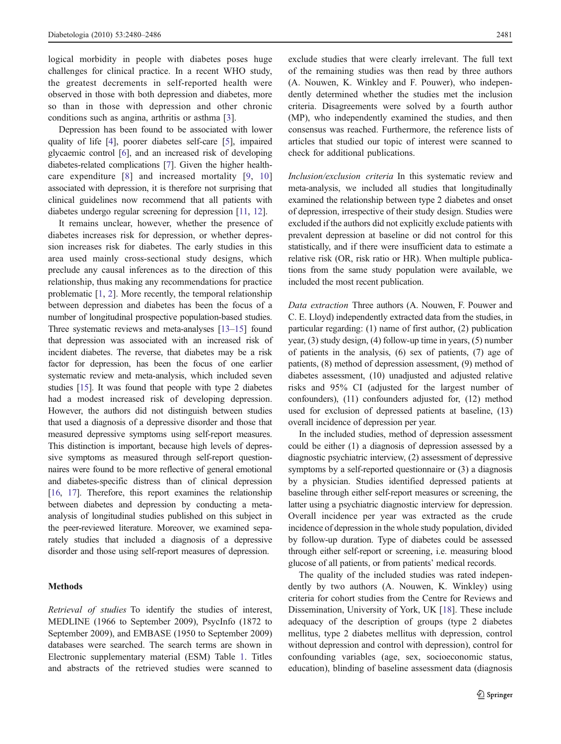logical morbidity in people with diabetes poses huge challenges for clinical practice. In a recent WHO study, the greatest decrements in self-reported health were observed in those with both depression and diabetes, more so than in those with depression and other chronic conditions such as angina, arthritis or asthma [\[3](#page-5-0)].

Depression has been found to be associated with lower quality of life [\[4](#page-5-0)], poorer diabetes self-care [\[5](#page-5-0)], impaired glycaemic control [\[6](#page-5-0)], and an increased risk of developing diabetes-related complications [[7](#page-5-0)]. Given the higher healthcare expenditure [[8\]](#page-5-0) and increased mortality [\[9](#page-5-0), [10\]](#page-6-0) associated with depression, it is therefore not surprising that clinical guidelines now recommend that all patients with diabetes undergo regular screening for depression [[11](#page-6-0), [12\]](#page-6-0).

It remains unclear, however, whether the presence of diabetes increases risk for depression, or whether depression increases risk for diabetes. The early studies in this area used mainly cross-sectional study designs, which preclude any causal inferences as to the direction of this relationship, thus making any recommendations for practice problematic [\[1](#page-5-0), [2\]](#page-5-0). More recently, the temporal relationship between depression and diabetes has been the focus of a number of longitudinal prospective population-based studies. Three systematic reviews and meta-analyses [[13](#page-6-0)–[15\]](#page-6-0) found that depression was associated with an increased risk of incident diabetes. The reverse, that diabetes may be a risk factor for depression, has been the focus of one earlier systematic review and meta-analysis, which included seven studies [[15](#page-6-0)]. It was found that people with type 2 diabetes had a modest increased risk of developing depression. However, the authors did not distinguish between studies that used a diagnosis of a depressive disorder and those that measured depressive symptoms using self-report measures. This distinction is important, because high levels of depressive symptoms as measured through self-report questionnaires were found to be more reflective of general emotional and diabetes-specific distress than of clinical depression [\[16,](#page-6-0) [17](#page-6-0)]. Therefore, this report examines the relationship between diabetes and depression by conducting a metaanalysis of longitudinal studies published on this subject in the peer-reviewed literature. Moreover, we examined separately studies that included a diagnosis of a depressive disorder and those using self-report measures of depression.

# Methods

Retrieval of studies To identify the studies of interest, MEDLINE (1966 to September 2009), PsycInfo (1872 to September 2009), and EMBASE (1950 to September 2009) databases were searched. The search terms are shown in Electronic supplementary material (ESM) Table 1. Titles and abstracts of the retrieved studies were scanned to exclude studies that were clearly irrelevant. The full text of the remaining studies was then read by three authors (A. Nouwen, K. Winkley and F. Pouwer), who independently determined whether the studies met the inclusion criteria. Disagreements were solved by a fourth author (MP), who independently examined the studies, and then consensus was reached. Furthermore, the reference lists of articles that studied our topic of interest were scanned to check for additional publications.

Inclusion/exclusion criteria In this systematic review and meta-analysis, we included all studies that longitudinally examined the relationship between type 2 diabetes and onset of depression, irrespective of their study design. Studies were excluded if the authors did not explicitly exclude patients with prevalent depression at baseline or did not control for this statistically, and if there were insufficient data to estimate a relative risk (OR, risk ratio or HR). When multiple publications from the same study population were available, we included the most recent publication.

Data extraction Three authors (A. Nouwen, F. Pouwer and C. E. Lloyd) independently extracted data from the studies, in particular regarding: (1) name of first author, (2) publication year, (3) study design, (4) follow-up time in years, (5) number of patients in the analysis, (6) sex of patients, (7) age of patients, (8) method of depression assessment, (9) method of diabetes assessment, (10) unadjusted and adjusted relative risks and 95% CI (adjusted for the largest number of confounders), (11) confounders adjusted for, (12) method used for exclusion of depressed patients at baseline, (13) overall incidence of depression per year.

In the included studies, method of depression assessment could be either (1) a diagnosis of depression assessed by a diagnostic psychiatric interview, (2) assessment of depressive symptoms by a self-reported questionnaire or (3) a diagnosis by a physician. Studies identified depressed patients at baseline through either self-report measures or screening, the latter using a psychiatric diagnostic interview for depression. Overall incidence per year was extracted as the crude incidence of depression in the whole study population, divided by follow-up duration. Type of diabetes could be assessed through either self-report or screening, i.e. measuring blood glucose of all patients, or from patients' medical records.

The quality of the included studies was rated independently by two authors (A. Nouwen, K. Winkley) using criteria for cohort studies from the Centre for Reviews and Dissemination, University of York, UK [[18\]](#page-6-0). These include adequacy of the description of groups (type 2 diabetes mellitus, type 2 diabetes mellitus with depression, control without depression and control with depression), control for confounding variables (age, sex, socioeconomic status, education), blinding of baseline assessment data (diagnosis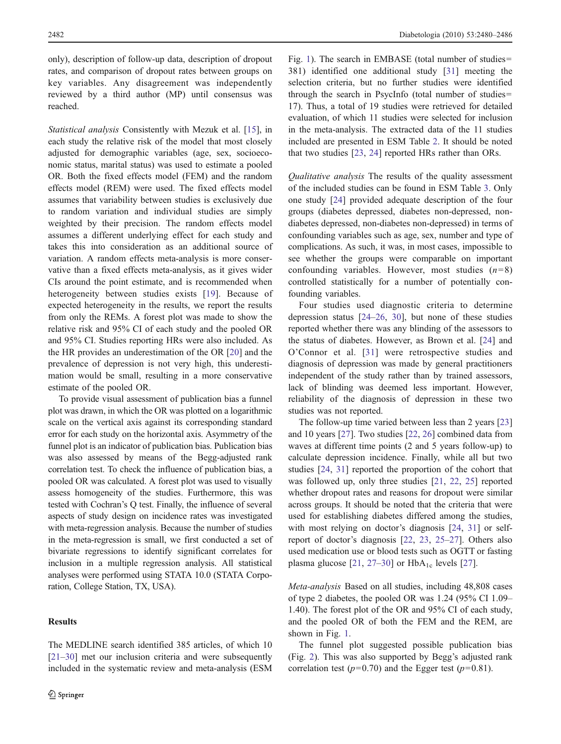only), description of follow-up data, description of dropout rates, and comparison of dropout rates between groups on key variables. Any disagreement was independently reviewed by a third author (MP) until consensus was reached.

Statistical analysis Consistently with Mezuk et al. [\[15](#page-6-0)], in each study the relative risk of the model that most closely adjusted for demographic variables (age, sex, socioeconomic status, marital status) was used to estimate a pooled OR. Both the fixed effects model (FEM) and the random effects model (REM) were used. The fixed effects model assumes that variability between studies is exclusively due to random variation and individual studies are simply weighted by their precision. The random effects model assumes a different underlying effect for each study and takes this into consideration as an additional source of variation. A random effects meta-analysis is more conservative than a fixed effects meta-analysis, as it gives wider CIs around the point estimate, and is recommended when heterogeneity between studies exists [[19\]](#page-6-0). Because of expected heterogeneity in the results, we report the results from only the REMs. A forest plot was made to show the relative risk and 95% CI of each study and the pooled OR and 95% CI. Studies reporting HRs were also included. As the HR provides an underestimation of the OR [[20\]](#page-6-0) and the prevalence of depression is not very high, this underestimation would be small, resulting in a more conservative estimate of the pooled OR.

To provide visual assessment of publication bias a funnel plot was drawn, in which the OR was plotted on a logarithmic scale on the vertical axis against its corresponding standard error for each study on the horizontal axis. Asymmetry of the funnel plot is an indicator of publication bias. Publication bias was also assessed by means of the Begg-adjusted rank correlation test. To check the influence of publication bias, a pooled OR was calculated. A forest plot was used to visually assess homogeneity of the studies. Furthermore, this was tested with Cochran's Q test. Finally, the influence of several aspects of study design on incidence rates was investigated with meta-regression analysis. Because the number of studies in the meta-regression is small, we first conducted a set of bivariate regressions to identify significant correlates for inclusion in a multiple regression analysis. All statistical analyses were performed using STATA 10.0 (STATA Corporation, College Station, TX, USA).

# Results

The MEDLINE search identified 385 articles, of which 10 [\[21](#page-6-0)–[30](#page-6-0)] met our inclusion criteria and were subsequently included in the systematic review and meta-analysis (ESM Fig. 1). The search in EMBASE (total number of studies= 381) identified one additional study [[31\]](#page-6-0) meeting the selection criteria, but no further studies were identified through the search in PsycInfo (total number of studies= 17). Thus, a total of 19 studies were retrieved for detailed evaluation, of which 11 studies were selected for inclusion in the meta-analysis. The extracted data of the 11 studies included are presented in ESM Table 2. It should be noted that two studies [\[23](#page-6-0), [24](#page-6-0)] reported HRs rather than ORs.

Qualitative analysis The results of the quality assessment of the included studies can be found in ESM Table 3. Only one study [[24\]](#page-6-0) provided adequate description of the four groups (diabetes depressed, diabetes non-depressed, nondiabetes depressed, non-diabetes non-depressed) in terms of confounding variables such as age, sex, number and type of complications. As such, it was, in most cases, impossible to see whether the groups were comparable on important confounding variables. However, most studies  $(n=8)$ controlled statistically for a number of potentially confounding variables.

Four studies used diagnostic criteria to determine depression status [[24](#page-6-0)–[26,](#page-6-0) [30](#page-6-0)], but none of these studies reported whether there was any blinding of the assessors to the status of diabetes. However, as Brown et al. [[24\]](#page-6-0) and O'Connor et al. [[31](#page-6-0)] were retrospective studies and diagnosis of depression was made by general practitioners independent of the study rather than by trained assessors, lack of blinding was deemed less important. However, reliability of the diagnosis of depression in these two studies was not reported.

The follow-up time varied between less than 2 years [\[23](#page-6-0)] and 10 years [\[27](#page-6-0)]. Two studies [[22,](#page-6-0) [26\]](#page-6-0) combined data from waves at different time points (2 and 5 years follow-up) to calculate depression incidence. Finally, while all but two studies [[24,](#page-6-0) [31\]](#page-6-0) reported the proportion of the cohort that was followed up, only three studies [\[21](#page-6-0), [22,](#page-6-0) [25](#page-6-0)] reported whether dropout rates and reasons for dropout were similar across groups. It should be noted that the criteria that were used for establishing diabetes differed among the studies, with most relying on doctor's diagnosis [[24,](#page-6-0) [31\]](#page-6-0) or selfreport of doctor's diagnosis [[22,](#page-6-0) [23](#page-6-0), [25](#page-6-0)–[27](#page-6-0)]. Others also used medication use or blood tests such as OGTT or fasting plasma glucose  $[21, 27-30]$  $[21, 27-30]$  $[21, 27-30]$  $[21, 27-30]$  $[21, 27-30]$  or  $HbA_{1c}$  levels  $[27]$  $[27]$ .

Meta-analysis Based on all studies, including 48,808 cases of type 2 diabetes, the pooled OR was 1.24 (95% CI 1.09– 1.40). The forest plot of the OR and 95% CI of each study, and the pooled OR of both the FEM and the REM, are shown in Fig. [1](#page-3-0).

The funnel plot suggested possible publication bias (Fig. [2\)](#page-3-0). This was also supported by Begg's adjusted rank correlation test  $(p=0.70)$  and the Egger test  $(p=0.81)$ .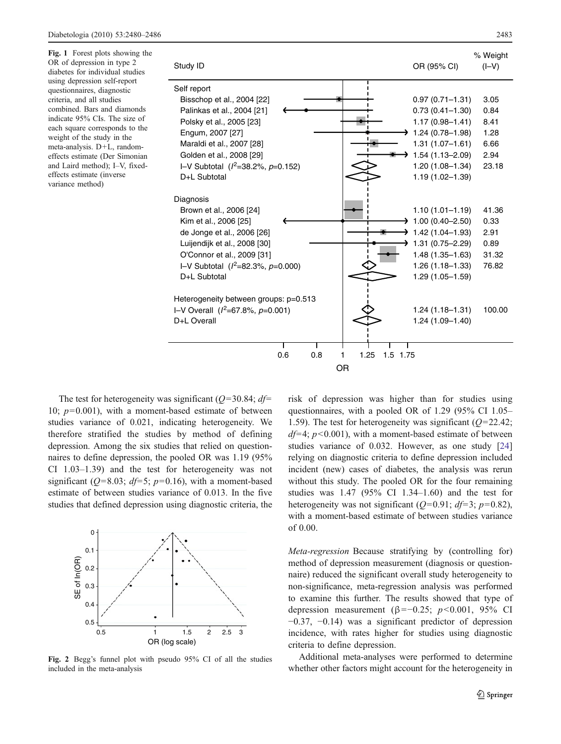<span id="page-3-0"></span>Fig. 1 Forest plots showing the OR of depression in type 2 diabetes for individual studies using depression self-report questionnaires, diagnostic criteria, and all studies combined. Bars and diamonds indicate 95% CIs. The size of each square corresponds to the weight of the study in the meta-analysis. D+L, randomeffects estimate (Der Simonian and Laird method); I–V, fixedeffects estimate (inverse variance method)



The test for heterogeneity was significant ( $Q=30.84$ ;  $df=$ 10;  $p=0.001$ ), with a moment-based estimate of between studies variance of 0.021, indicating heterogeneity. We therefore stratified the studies by method of defining depression. Among the six studies that relied on questionnaires to define depression, the pooled OR was 1.19 (95% CI 1.03–1.39) and the test for heterogeneity was not significant ( $Q=8.03$ ;  $df=5$ ;  $p=0.16$ ), with a moment-based estimate of between studies variance of 0.013. In the five studies that defined depression using diagnostic criteria, the



Fig. 2 Begg's funnel plot with pseudo 95% CI of all the studies included in the meta-analysis

risk of depression was higher than for studies using questionnaires, with a pooled OR of 1.29 (95% CI 1.05– 1.59). The test for heterogeneity was significant  $(Q=22.42;$  $df=4$ ;  $p<0.001$ ), with a moment-based estimate of between studies variance of 0.032. However, as one study [\[24](#page-6-0)] relying on diagnostic criteria to define depression included incident (new) cases of diabetes, the analysis was rerun without this study. The pooled OR for the four remaining studies was 1.47 (95% CI 1.34–1.60) and the test for heterogeneity was not significant ( $Q=0.91$ ;  $df=3$ ;  $p=0.82$ ), with a moment-based estimate of between studies variance of 0.00.

Meta-regression Because stratifying by (controlling for) method of depression measurement (diagnosis or questionnaire) reduced the significant overall study heterogeneity to non-significance, meta-regression analysis was performed to examine this further. The results showed that type of depression measurement (β=−0.25;  $p$ <0.001, 95% CI −0.37, −0.14) was a significant predictor of depression incidence, with rates higher for studies using diagnostic criteria to define depression.

Additional meta-analyses were performed to determine whether other factors might account for the heterogeneity in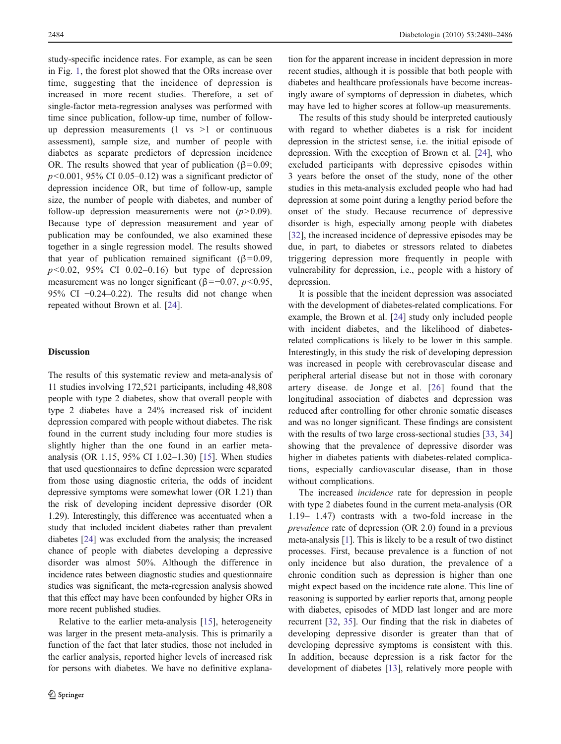study-specific incidence rates. For example, as can be seen in Fig. [1](#page-3-0), the forest plot showed that the ORs increase over time, suggesting that the incidence of depression is increased in more recent studies. Therefore, a set of single-factor meta-regression analyses was performed with time since publication, follow-up time, number of followup depression measurements  $(1 \text{ vs } >1)$  or continuous assessment), sample size, and number of people with diabetes as separate predictors of depression incidence OR. The results showed that year of publication ( $\beta$ =0.09;  $p<0.001$ , 95% CI 0.05–0.12) was a significant predictor of depression incidence OR, but time of follow-up, sample size, the number of people with diabetes, and number of follow-up depression measurements were not  $(p>0.09)$ . Because type of depression measurement and year of publication may be confounded, we also examined these together in a single regression model. The results showed that year of publication remained significant ( $β=0.09$ ,  $p<0.02$ , 95% CI 0.02–0.16) but type of depression measurement was no longer significant ( $\beta$ =−0.07, *p*<0.95, 95% CI −0.24–0.22). The results did not change when repeated without Brown et al. [[24\]](#page-6-0).

#### **Discussion**

The results of this systematic review and meta-analysis of 11 studies involving 172,521 participants, including 48,808 people with type 2 diabetes, show that overall people with type 2 diabetes have a 24% increased risk of incident depression compared with people without diabetes. The risk found in the current study including four more studies is slightly higher than the one found in an earlier metaanalysis (OR 1.15, 95% CI 1.02–1.30) [\[15](#page-6-0)]. When studies that used questionnaires to define depression were separated from those using diagnostic criteria, the odds of incident depressive symptoms were somewhat lower (OR 1.21) than the risk of developing incident depressive disorder (OR 1.29). Interestingly, this difference was accentuated when a study that included incident diabetes rather than prevalent diabetes [\[24\]](#page-6-0) was excluded from the analysis; the increased chance of people with diabetes developing a depressive disorder was almost 50%. Although the difference in incidence rates between diagnostic studies and questionnaire studies was significant, the meta-regression analysis showed that this effect may have been confounded by higher ORs in more recent published studies.

Relative to the earlier meta-analysis [[15\]](#page-6-0), heterogeneity was larger in the present meta-analysis. This is primarily a function of the fact that later studies, those not included in the earlier analysis, reported higher levels of increased risk for persons with diabetes. We have no definitive explana-

tion for the apparent increase in incident depression in more recent studies, although it is possible that both people with diabetes and healthcare professionals have become increasingly aware of symptoms of depression in diabetes, which may have led to higher scores at follow-up measurements.

The results of this study should be interpreted cautiously with regard to whether diabetes is a risk for incident depression in the strictest sense, i.e. the initial episode of depression. With the exception of Brown et al. [\[24](#page-6-0)], who excluded participants with depressive episodes within 3 years before the onset of the study, none of the other studies in this meta-analysis excluded people who had had depression at some point during a lengthy period before the onset of the study. Because recurrence of depressive disorder is high, especially among people with diabetes [\[32](#page-6-0)], the increased incidence of depressive episodes may be due, in part, to diabetes or stressors related to diabetes triggering depression more frequently in people with vulnerability for depression, i.e., people with a history of depression.

It is possible that the incident depression was associated with the development of diabetes-related complications. For example, the Brown et al. [[24\]](#page-6-0) study only included people with incident diabetes, and the likelihood of diabetesrelated complications is likely to be lower in this sample. Interestingly, in this study the risk of developing depression was increased in people with cerebrovascular disease and peripheral arterial disease but not in those with coronary artery disease. de Jonge et al. [[26\]](#page-6-0) found that the longitudinal association of diabetes and depression was reduced after controlling for other chronic somatic diseases and was no longer significant. These findings are consistent with the results of two large cross-sectional studies [[33,](#page-6-0) [34](#page-6-0)] showing that the prevalence of depressive disorder was higher in diabetes patients with diabetes-related complications, especially cardiovascular disease, than in those without complications.

The increased incidence rate for depression in people with type 2 diabetes found in the current meta-analysis (OR 1.19– 1.47) contrasts with a two-fold increase in the prevalence rate of depression (OR 2.0) found in a previous meta-analysis [\[1](#page-5-0)]. This is likely to be a result of two distinct processes. First, because prevalence is a function of not only incidence but also duration, the prevalence of a chronic condition such as depression is higher than one might expect based on the incidence rate alone. This line of reasoning is supported by earlier reports that, among people with diabetes, episodes of MDD last longer and are more recurrent [[32,](#page-6-0) [35\]](#page-6-0). Our finding that the risk in diabetes of developing depressive disorder is greater than that of developing depressive symptoms is consistent with this. In addition, because depression is a risk factor for the development of diabetes [\[13](#page-6-0)], relatively more people with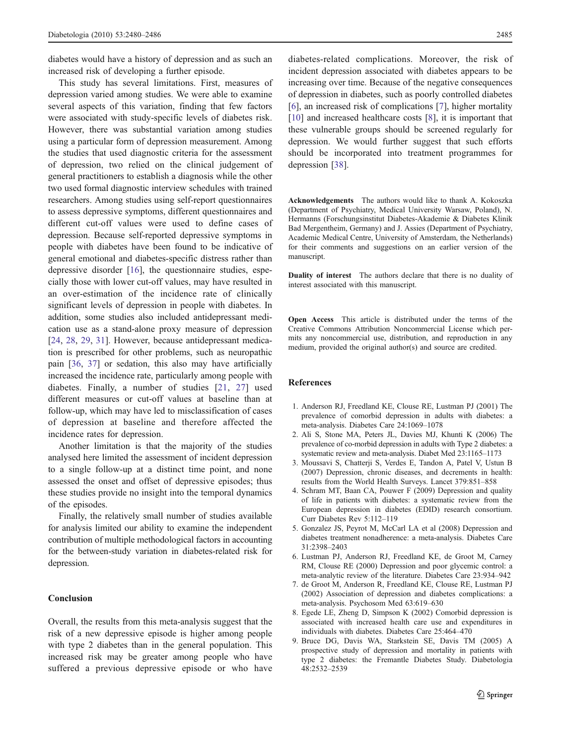<span id="page-5-0"></span>diabetes would have a history of depression and as such an increased risk of developing a further episode.

This study has several limitations. First, measures of depression varied among studies. We were able to examine several aspects of this variation, finding that few factors were associated with study-specific levels of diabetes risk. However, there was substantial variation among studies using a particular form of depression measurement. Among the studies that used diagnostic criteria for the assessment of depression, two relied on the clinical judgement of general practitioners to establish a diagnosis while the other two used formal diagnostic interview schedules with trained researchers. Among studies using self-report questionnaires to assess depressive symptoms, different questionnaires and different cut-off values were used to define cases of depression. Because self-reported depressive symptoms in people with diabetes have been found to be indicative of general emotional and diabetes-specific distress rather than depressive disorder [[16\]](#page-6-0), the questionnaire studies, especially those with lower cut-off values, may have resulted in an over-estimation of the incidence rate of clinically significant levels of depression in people with diabetes. In addition, some studies also included antidepressant medication use as a stand-alone proxy measure of depression [\[24](#page-6-0), [28](#page-6-0), [29,](#page-6-0) [31\]](#page-6-0). However, because antidepressant medication is prescribed for other problems, such as neuropathic pain [[36,](#page-6-0) [37](#page-6-0)] or sedation, this also may have artificially increased the incidence rate, particularly among people with diabetes. Finally, a number of studies [\[21,](#page-6-0) [27\]](#page-6-0) used different measures or cut-off values at baseline than at follow-up, which may have led to misclassification of cases of depression at baseline and therefore affected the incidence rates for depression.

Another limitation is that the majority of the studies analysed here limited the assessment of incident depression to a single follow-up at a distinct time point, and none assessed the onset and offset of depressive episodes; thus these studies provide no insight into the temporal dynamics of the episodes.

Finally, the relatively small number of studies available for analysis limited our ability to examine the independent contribution of multiple methodological factors in accounting for the between-study variation in diabetes-related risk for depression.

# Conclusion

Overall, the results from this meta-analysis suggest that the risk of a new depressive episode is higher among people with type 2 diabetes than in the general population. This increased risk may be greater among people who have suffered a previous depressive episode or who have

diabetes-related complications. Moreover, the risk of incident depression associated with diabetes appears to be increasing over time. Because of the negative consequences of depression in diabetes, such as poorly controlled diabetes [6], an increased risk of complications [7], higher mortality [\[10](#page-6-0)] and increased healthcare costs [8], it is important that these vulnerable groups should be screened regularly for depression. We would further suggest that such efforts should be incorporated into treatment programmes for depression [[38\]](#page-6-0).

Acknowledgements The authors would like to thank A. Kokoszka (Department of Psychiatry, Medical University Warsaw, Poland), N. Hermanns (Forschungsinstitut Diabetes-Akademie & Diabetes Klinik Bad Mergentheim, Germany) and J. Assies (Department of Psychiatry, Academic Medical Centre, University of Amsterdam, the Netherlands) for their comments and suggestions on an earlier version of the manuscript.

Duality of interest The authors declare that there is no duality of interest associated with this manuscript.

Open Access This article is distributed under the terms of the Creative Commons Attribution Noncommercial License which permits any noncommercial use, distribution, and reproduction in any medium, provided the original author(s) and source are credited.

#### References

- 1. Anderson RJ, Freedland KE, Clouse RE, Lustman PJ (2001) The prevalence of comorbid depression in adults with diabetes: a meta-analysis. Diabetes Care 24:1069–1078
- 2. Ali S, Stone MA, Peters JL, Davies MJ, Khunti K (2006) The prevalence of co-morbid depression in adults with Type 2 diabetes: a systematic review and meta-analysis. Diabet Med 23:1165–1173
- 3. Moussavi S, Chatterji S, Verdes E, Tandon A, Patel V, Ustun B (2007) Depression, chronic diseases, and decrements in health: results from the World Health Surveys. Lancet 379:851–858
- 4. Schram MT, Baan CA, Pouwer F (2009) Depression and quality of life in patients with diabetes: a systematic review from the European depression in diabetes (EDID) research consortium. Curr Diabetes Rev 5:112–119
- 5. Gonzalez JS, Peyrot M, McCarl LA et al (2008) Depression and diabetes treatment nonadherence: a meta-analysis. Diabetes Care 31:2398–2403
- 6. Lustman PJ, Anderson RJ, Freedland KE, de Groot M, Carney RM, Clouse RE (2000) Depression and poor glycemic control: a meta-analytic review of the literature. Diabetes Care 23:934–942
- 7. de Groot M, Anderson R, Freedland KE, Clouse RE, Lustman PJ (2002) Association of depression and diabetes complications: a meta-analysis. Psychosom Med 63:619–630
- 8. Egede LE, Zheng D, Simpson K (2002) Comorbid depression is associated with increased health care use and expenditures in individuals with diabetes. Diabetes Care 25:464–470
- 9. Bruce DG, Davis WA, Starkstein SE, Davis TM (2005) A prospective study of depression and mortality in patients with type 2 diabetes: the Fremantle Diabetes Study. Diabetologia 48:2532–2539